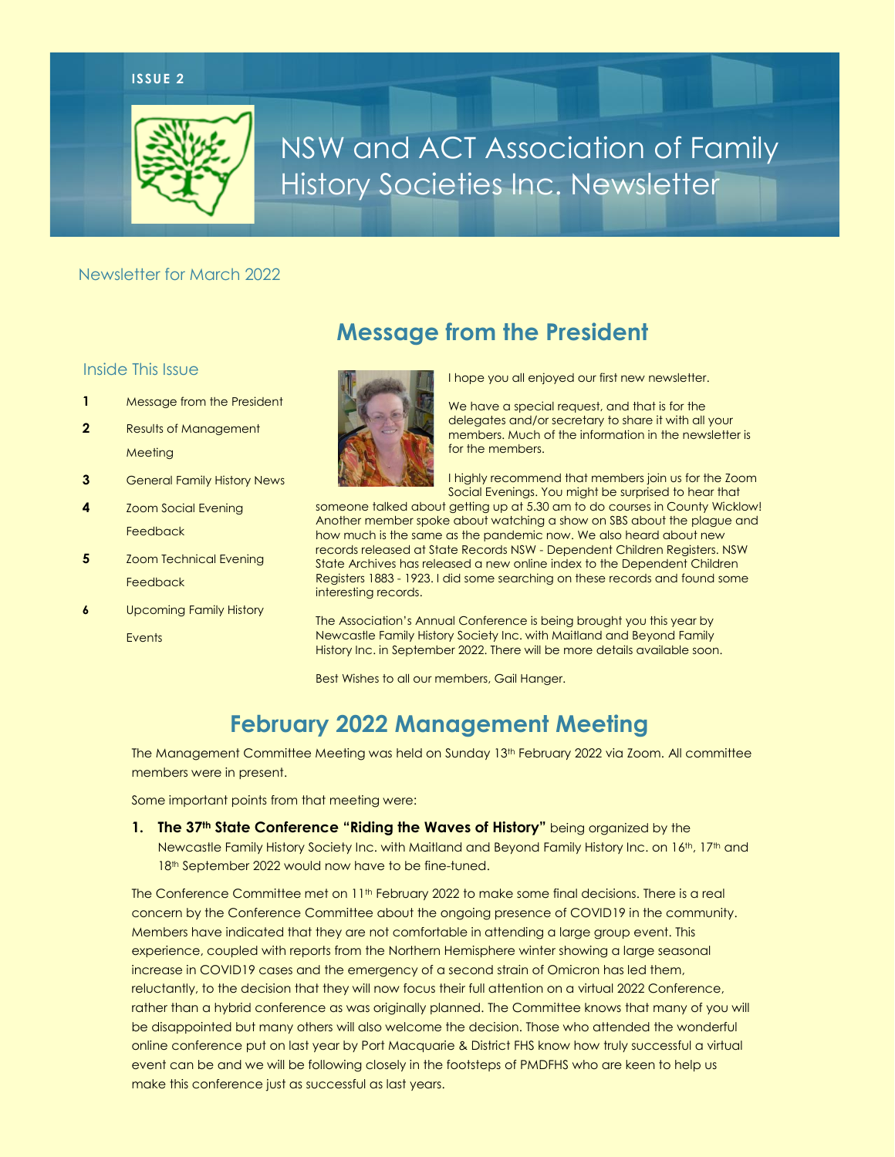#### **ISSUE 2**



# NSW and ACT Association of Family History Societies Inc. Newsletter

**Message from the President**

#### Newsletter for March 2022

#### Inside This Issue

- **1** Message from the President
- **2** Results of Management **Meeting**
- **3** General Family History News
- **4** Zoom Social Evening Feedback
- **5** Zoom Technical Evening Feedback
- **6** Upcoming Family History **Events**



I hope you all enjoyed our first new newsletter.

We have a special request, and that is for the delegates and/or secretary to share it with all your members. Much of the information in the newsletter is for the members.

I highly recommend that members join us for the Zoom Social Evenings. You might be surprised to hear that

someone talked about getting up at 5.30 am to do courses in County Wicklow! Another member spoke about watching a show on SBS about the plague and how much is the same as the pandemic now. We also heard about new records released at State Records NSW - Dependent Children Registers. NSW State Archives has released a new online index to the Dependent Children Registers 1883 - 1923. I did some searching on these records and found some interesting records.

The Association's Annual Conference is being brought you this year by Newcastle Family History Society Inc. with Maitland and Beyond Family History Inc. in September 2022. There will be more details available soon.

Best Wishes to all our members, Gail Hanger.

## **February 2022 Management Meeting**

The Management Committee Meeting was held on Sunday 13<sup>th</sup> February 2022 via Zoom. All committee members were in present.

Some important points from that meeting were:

**1. The 37th State Conference "Riding the Waves of History"** being organized by the Newcastle Family History Society Inc. with Maitland and Beyond Family History Inc. on 16<sup>th</sup>, 17<sup>th</sup> and 18<sup>th</sup> September 2022 would now have to be fine-tuned.

The Conference Committee met on 11<sup>th</sup> February 2022 to make some final decisions. There is a real concern by the Conference Committee about the ongoing presence of COVID19 in the community. Members have indicated that they are not comfortable in attending a large group event. This experience, coupled with reports from the Northern Hemisphere winter showing a large seasonal increase in COVID19 cases and the emergency of a second strain of Omicron has led them, reluctantly, to the decision that they will now focus their full attention on a virtual 2022 Conference, rather than a hybrid conference as was originally planned. The Committee knows that many of you will be disappointed but many others will also welcome the decision. Those who attended the wonderful online conference put on last year by Port Macquarie & District FHS know how truly successful a virtual event can be and we will be following closely in the footsteps of PMDFHS who are keen to help us make this conference just as successful as last years.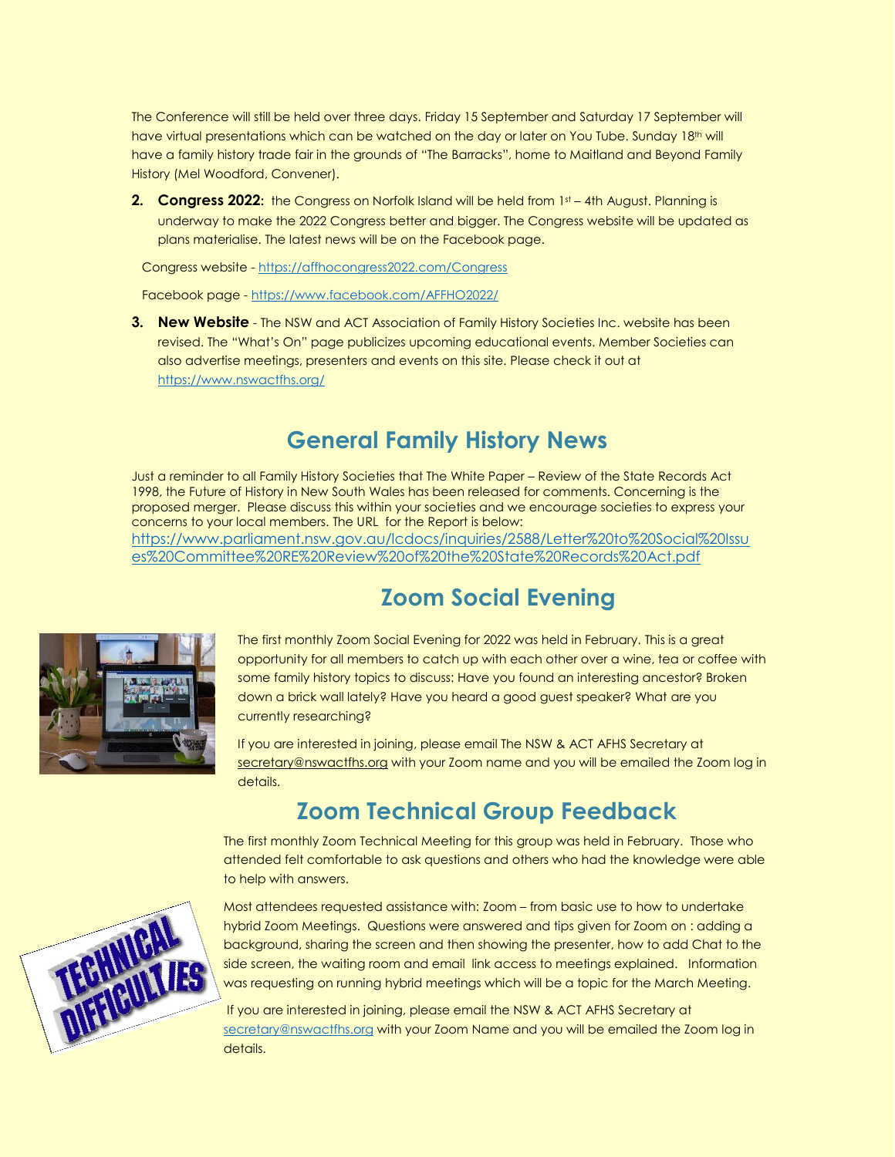The Conference will still be held over three days. Friday 15 September and Saturday 17 September will have virtual presentations which can be watched on the day or later on You Tube. Sunday 18th will have a family history trade fair in the grounds of "The Barracks", home to Maitland and Beyond Family History (Mel Woodford, Convener).

**2. Congress 2022:** the Congress on Norfolk Island will be held from 1st – 4th August. Planning is underway to make the 2022 Congress better and bigger. The Congress website will be updated as plans materialise. The latest news will be on the Facebook page.

Congress website - <https://affhocongress2022.com/Congress>

Facebook page - <https://www.facebook.com/AFFHO2022/>

**3. New Website** - The NSW and ACT Association of Family History Societies Inc. website has been revised. The "What's On" page publicizes upcoming educational events. Member Societies can also advertise meetings, presenters and events on this site. Please check it out at <https://www.nswactfhs.org/>

### **General Family History News**

Just a reminder to all Family History Societies that The White Paper – Review of the State Records Act 1998, the Future of History in New South Wales has been released for comments. Concerning is the proposed merger. Please discuss this within your societies and we encourage societies to express your concerns to your local members. The URL for the Report is below: [https://www.parliament.nsw.gov.au/lcdocs/inquiries/2588/Letter%20to%20Social%20Issu](https://www.parliament.nsw.gov.au/lcdocs/inquiries/2588/Letter%20to%20Social%20Issues%20Committee%20RE%20Review%20of%20the%20State%20Records%20Act.pdf) [es%20Committee%20RE%20Review%20of%20the%20State%20Records%20Act.pdf](https://www.parliament.nsw.gov.au/lcdocs/inquiries/2588/Letter%20to%20Social%20Issues%20Committee%20RE%20Review%20of%20the%20State%20Records%20Act.pdf)

### **Zoom Social Evening**



TECHNICAL

The first monthly Zoom Social Evening for 2022 was held in February. This is a great opportunity for all members to catch up with each other over a wine, tea or coffee with some family history topics to discuss: Have you found an interesting ancestor? Broken down a brick wall lately? Have you heard a good guest speaker? What are you currently researching?

If you are interested in joining, please email The NSW & ACT AFHS Secretary at [secretary@nswactfhs.org](mailto:secretary@nswactfhs.org) with your Zoom name and you will be emailed the Zoom log in details.

## **Zoom Technical Group Feedback**

The first monthly Zoom Technical Meeting for this group was held in February. Those who attended felt comfortable to ask questions and others who had the knowledge were able to help with answers.

Most attendees requested assistance with: Zoom – from basic use to how to undertake hybrid Zoom Meetings. Questions were answered and tips given for Zoom on : adding a background, sharing the screen and then showing the presenter, how to add Chat to the side screen, the waiting room and email link access to meetings explained. Information was requesting on running hybrid meetings which will be a topic for the March Meeting.

If you are interested in joining, please email the NSW & ACT AFHS Secretary at [secretary@nswactfhs.org](mailto:secretary@nswactfhs.org) with your Zoom Name and you will be emailed the Zoom log in details.